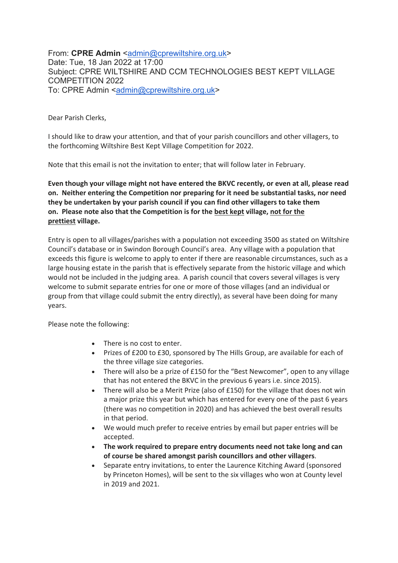From: **CPRE Admin** <admin@cprewiltshire.org.uk> Date: Tue, 18 Jan 2022 at 17:00 Subject: CPRE WILTSHIRE AND CCM TECHNOLOGIES BEST KEPT VILLAGE COMPETITION 2022 To: CPRE Admin <admin@cprewiltshire.org.uk>

Dear Parish Clerks,

I should like to draw your attention, and that of your parish councillors and other villagers, to the forthcoming Wiltshire Best Kept Village Competition for 2022.

Note that this email is not the invitation to enter; that will follow later in February.

**Even though your village might not have entered the BKVC recently, or even at all, please read on. Neither entering the Competition nor preparing for it need be substantial tasks, nor need they be undertaken by your parish council if you can find other villagers to take them on. Please note also that the Competition is for the best kept village, not for the prettiest village.**

Entry is open to all villages/parishes with a population not exceeding 3500 as stated on Wiltshire Council's database or in Swindon Borough Council's area. Any village with a population that exceeds this figure is welcome to apply to enter if there are reasonable circumstances, such as a large housing estate in the parish that is effectively separate from the historic village and which would not be included in the judging area. A parish council that covers several villages is very welcome to submit separate entries for one or more of those villages (and an individual or group from that village could submit the entry directly), as several have been doing for many years.

Please note the following:

- There is no cost to enter.
- Prizes of £200 to £30, sponsored by The Hills Group, are available for each of the three village size categories.
- There will also be a prize of £150 for the "Best Newcomer", open to any village that has not entered the BKVC in the previous 6 years i.e. since 2015).
- There will also be a Merit Prize (also of £150) for the village that does not win a major prize this year but which has entered for every one of the past 6 years (there was no competition in 2020) and has achieved the best overall results in that period.
- We would much prefer to receive entries by email but paper entries will be accepted.
- **The work required to prepare entry documents need not take long and can of course be shared amongst parish councillors and other villagers**.
- Separate entry invitations, to enter the Laurence Kitching Award (sponsored by Princeton Homes), will be sent to the six villages who won at County level in 2019 and 2021.